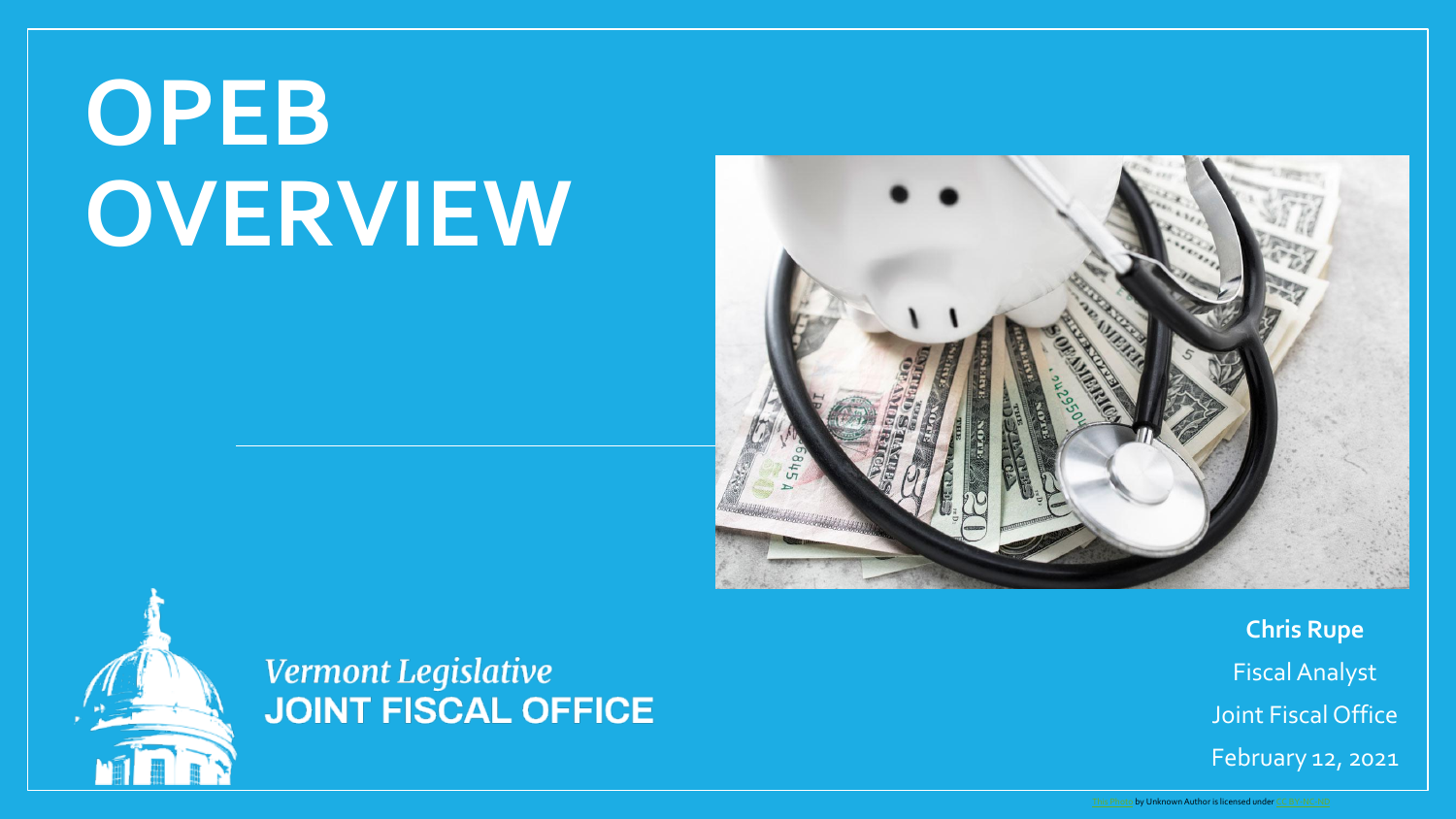# **OPEB OVERVIEW**



**Chris Rupe** Fiscal Analyst Joint Fiscal Office February 12, 2021

## **Vermont Legislative<br>JOINT FISCAL OFFICE**

[This Photo](http://www.finsmes.com/2018/10/save-money-on-healthcare-costs-with-these-effective-tips.html) by Unknown Author is licensed under [CC BY-NC-ND](https://creativecommons.org/licenses/by-nc-nd/3.0/)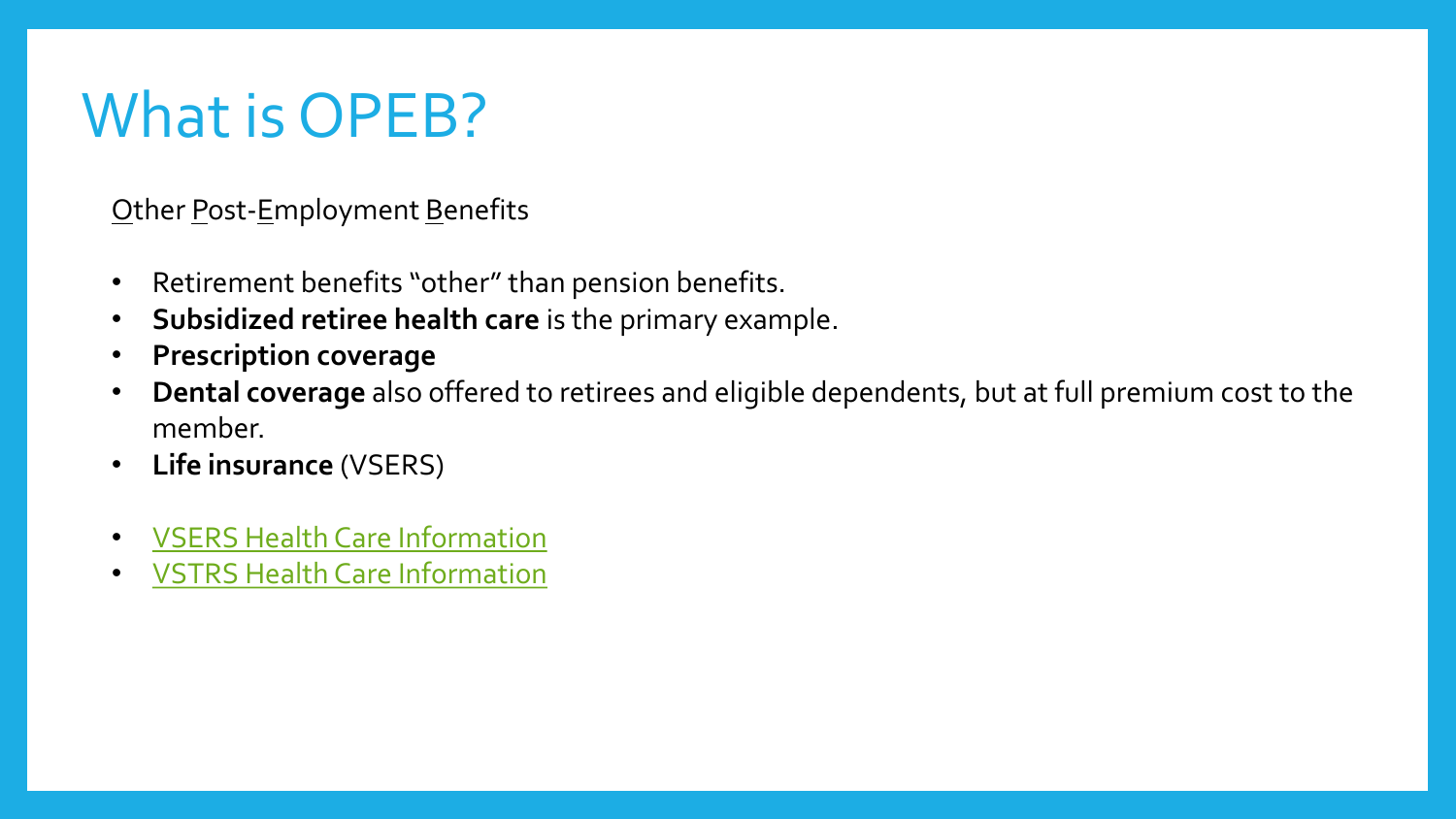#### What is OPEB?

Other Post-Employment Benefits

- Retirement benefits "other" than pension benefits.
- **Subsidized retiree health care** is the primary example.
- **Prescription coverage**
- **Dental coverage** also offered to retirees and eligible dependents, but at full premium cost to the member.
- **Life insurance** (VSERS)
- [VSERS Health Care Information](https://www.vermonttreasurer.gov/content/retirement/state/health-insurance)
- **[VSTRS Health Care Information](https://www.vermonttreasurer.gov/content/retirement/teacher/group-health)**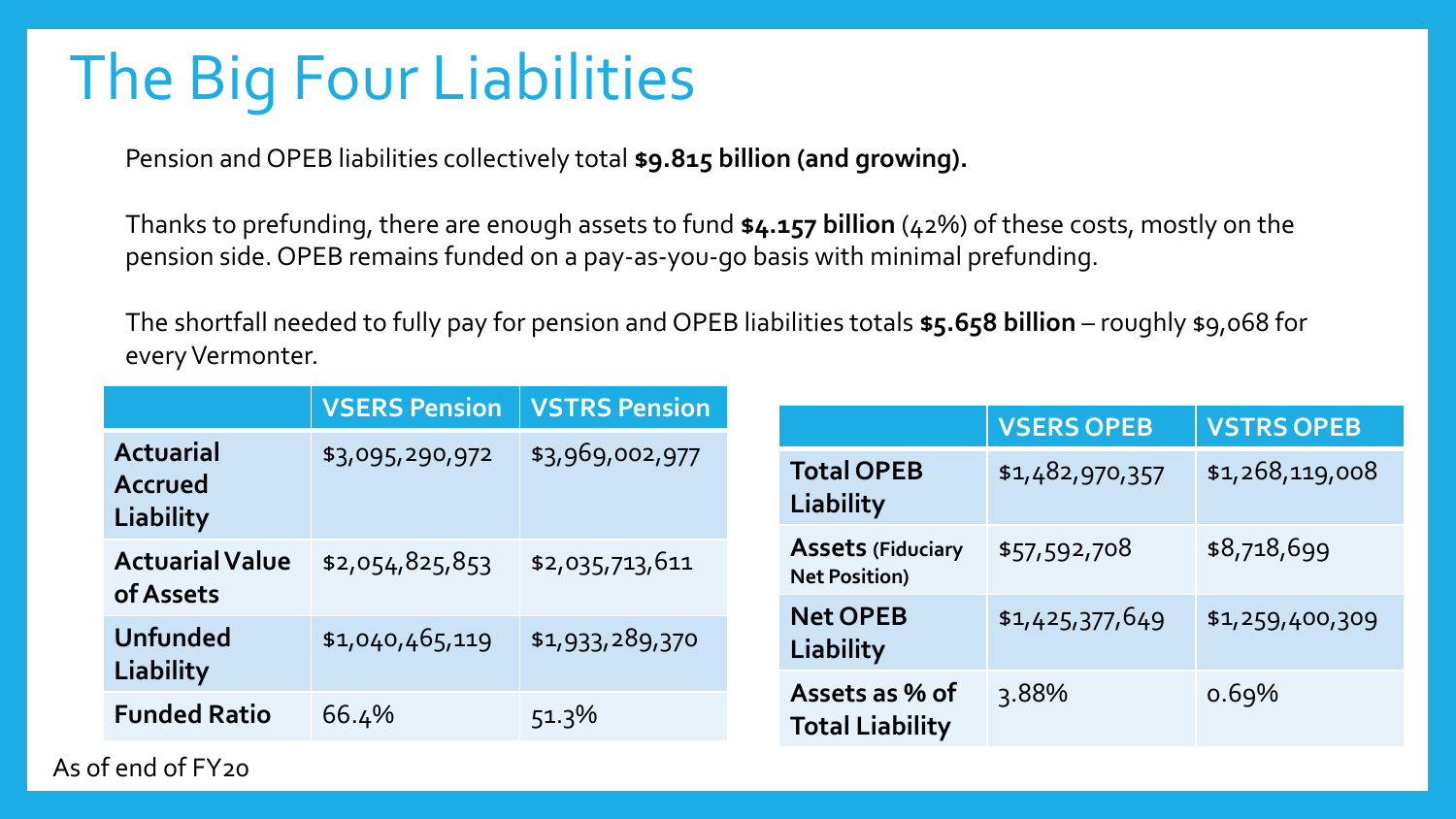### The Big Four Liabilities

Pension and OPEB liabilities collectively total **\$9.815 billion (and growing).**

Thanks to prefunding, there are enough assets to fund **\$4.157 billion** (42%) of these costs, mostly on the pension side. OPEB remains funded on a pay-as-you-go basis with minimal prefunding.

The shortfall needed to fully pay for pension and OPEB liabilities totals **\$5.658 billion** – roughly \$9,068 for every Vermonter.

|                                                 | <b>VSERS Pension</b> | <b>VSTRS Pension</b> |                                                  |                   |                   |
|-------------------------------------------------|----------------------|----------------------|--------------------------------------------------|-------------------|-------------------|
|                                                 |                      |                      |                                                  | <b>VSERS OPEB</b> | <b>VSTRS OPEB</b> |
| <b>Actuarial</b><br><b>Accrued</b><br>Liability | \$3,095,290,972      | \$3,969,002,977      | <b>Total OPEB</b><br>Liability                   | \$1,482,970,357   | \$1,268,119,008   |
| <b>Actuarial Value</b><br>of Assets             | \$2,054,825,853      | \$2,035,713,611      | <b>Assets (Fiduciary</b><br><b>Net Position)</b> | \$57,592,708      | \$8,718,699       |
| <b>Unfunded</b>                                 | \$1,040,465,119      | \$1,933,289,370      | <b>Net OPEB</b><br>Liability                     | \$1,425,377,649   | \$1,259,400,309   |
| Liability<br><b>Funded Ratio</b>                | 66.4%                | $51.3\%$             | Assets as % of<br><b>Total Liability</b>         | $3.88\%$          | 0.69%             |

As of end of FY20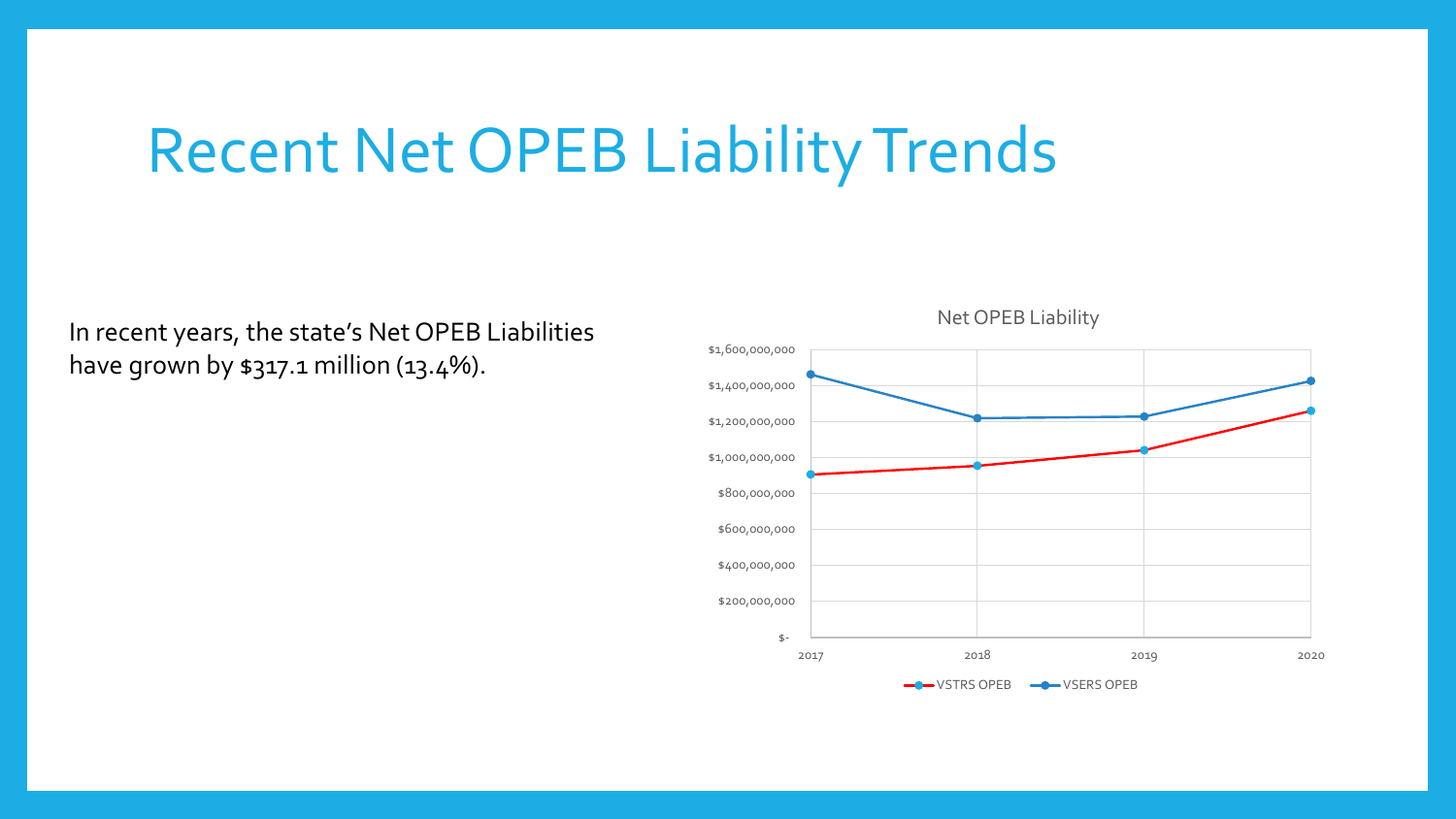#### Recent Net OPEB Liability Trends

In recent years, the state's Net OPEB Liabilities have grown by \$317.1 million (13.4%).

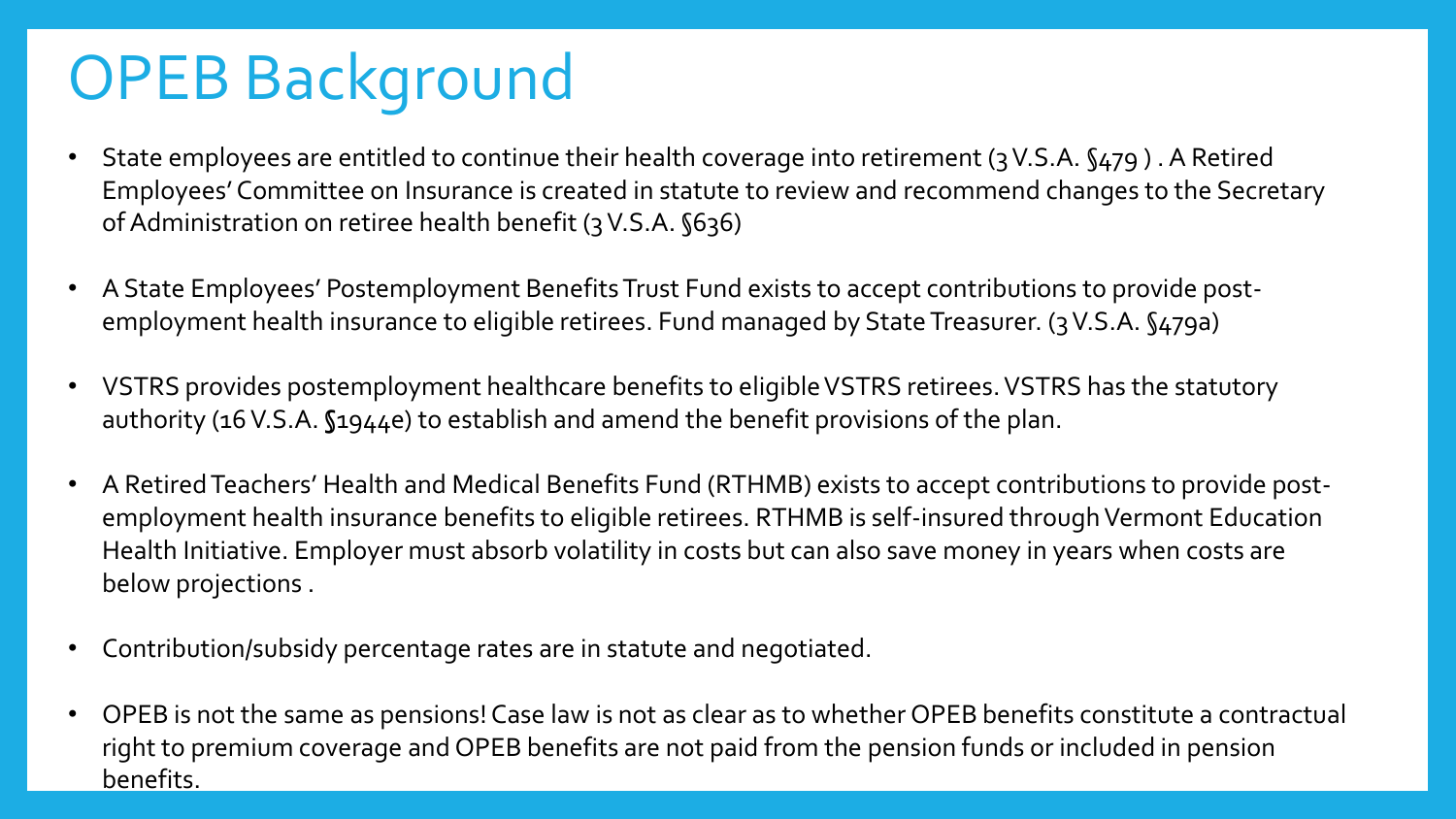### OPEB Background

- State employees are entitled to continue their health coverage into retirement (3 V.S.A. §479). A Retired Employees' Committee on Insurance is created in statute to review and recommend changes to the Secretary of Administration on retiree health benefit (3 V.S.A. §636)
- A State Employees' Postemployment Benefits Trust Fund exists to accept contributions to provide postemployment health insurance to eligible retirees. Fund managed by State Treasurer. (3 V.S.A. §479a)
- VSTRS provides postemployment healthcare benefits to eligible VSTRS retirees. VSTRS has the statutory authority (16 V.S.A. **§**1944e) to establish and amend the benefit provisions of the plan.
- A Retired Teachers' Health and Medical Benefits Fund (RTHMB) exists to accept contributions to provide postemployment health insurance benefits to eligible retirees. RTHMB is self-insured through Vermont Education Health Initiative. Employer must absorb volatility in costs but can also save money in years when costs are below projections .
- Contribution/subsidy percentage rates are in statute and negotiated.
- OPEB is not the same as pensions! Case law is not as clear as to whether OPEB benefits constitute a contractual right to premium coverage and OPEB benefits are not paid from the pension funds or included in pension benefits.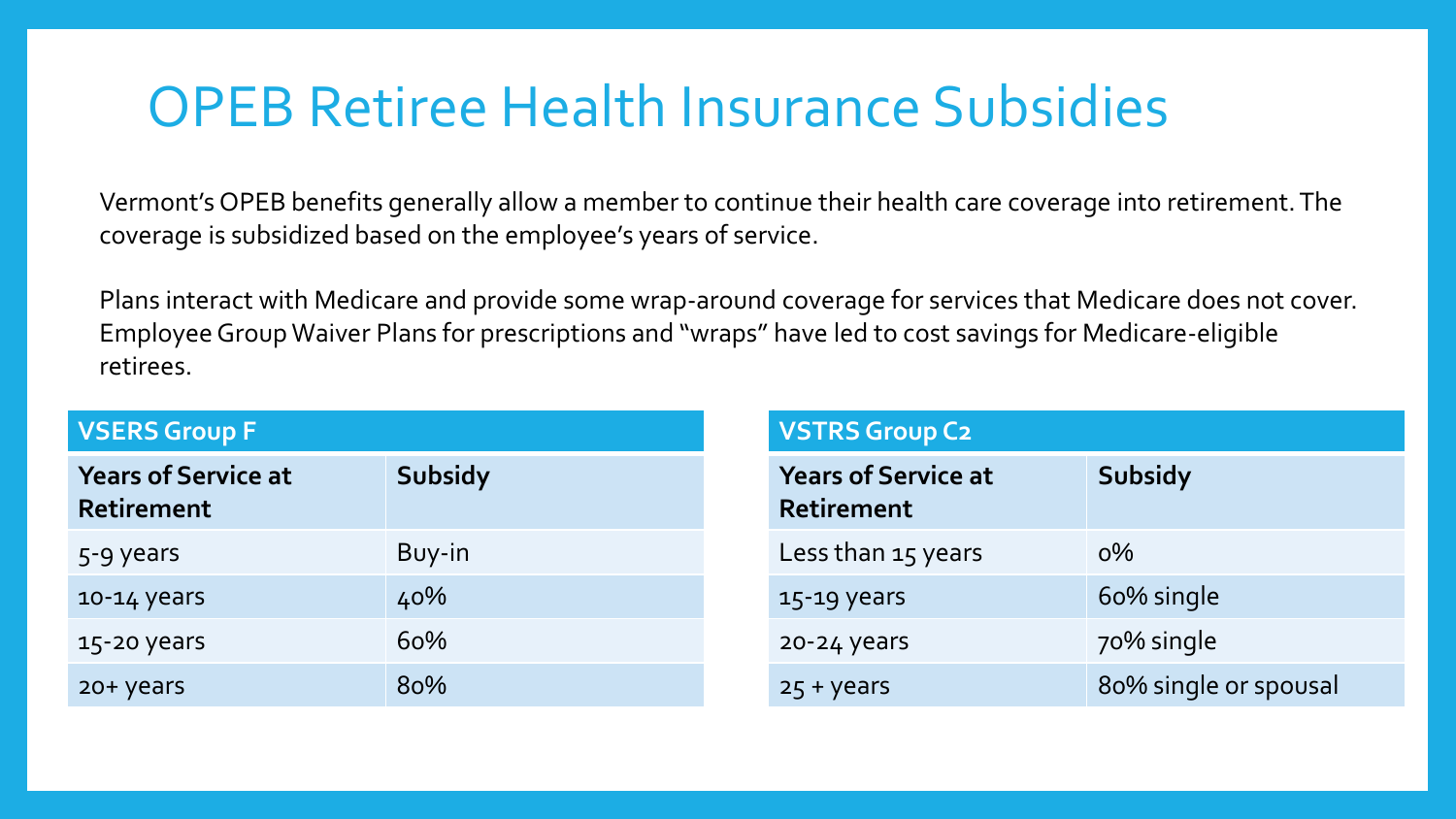#### OPEB Retiree Health Insurance Subsidies

Vermont's OPEB benefits generally allow a member to continue their health care coverage into retirement. The coverage is subsidized based on the employee's years of service.

Plans interact with Medicare and provide some wrap-around coverage for services that Medicare does not cover. Employee Group Waiver Plans for prescriptions and "wraps" have led to cost savings for Medicare-eligible retirees.

| <b>VSERS Group F</b>                            |                |  |  |
|-------------------------------------------------|----------------|--|--|
| <b>Years of Service at</b><br><b>Retirement</b> | <b>Subsidy</b> |  |  |
| 5-9 years                                       | Buy-in         |  |  |
| 10-14 years                                     | 40%            |  |  |
| 15-20 years                                     | 60%            |  |  |
| 20+ years                                       | 80%            |  |  |

| <b>VSTRS Group C2</b>                           |                       |  |  |
|-------------------------------------------------|-----------------------|--|--|
| <b>Years of Service at</b><br><b>Retirement</b> | <b>Subsidy</b>        |  |  |
| Less than 15 years                              | $O\%$                 |  |  |
| 15-19 years                                     | 60% single            |  |  |
| 20-24 years                                     | 70% single            |  |  |
| $25 + years$                                    | 80% single or spousal |  |  |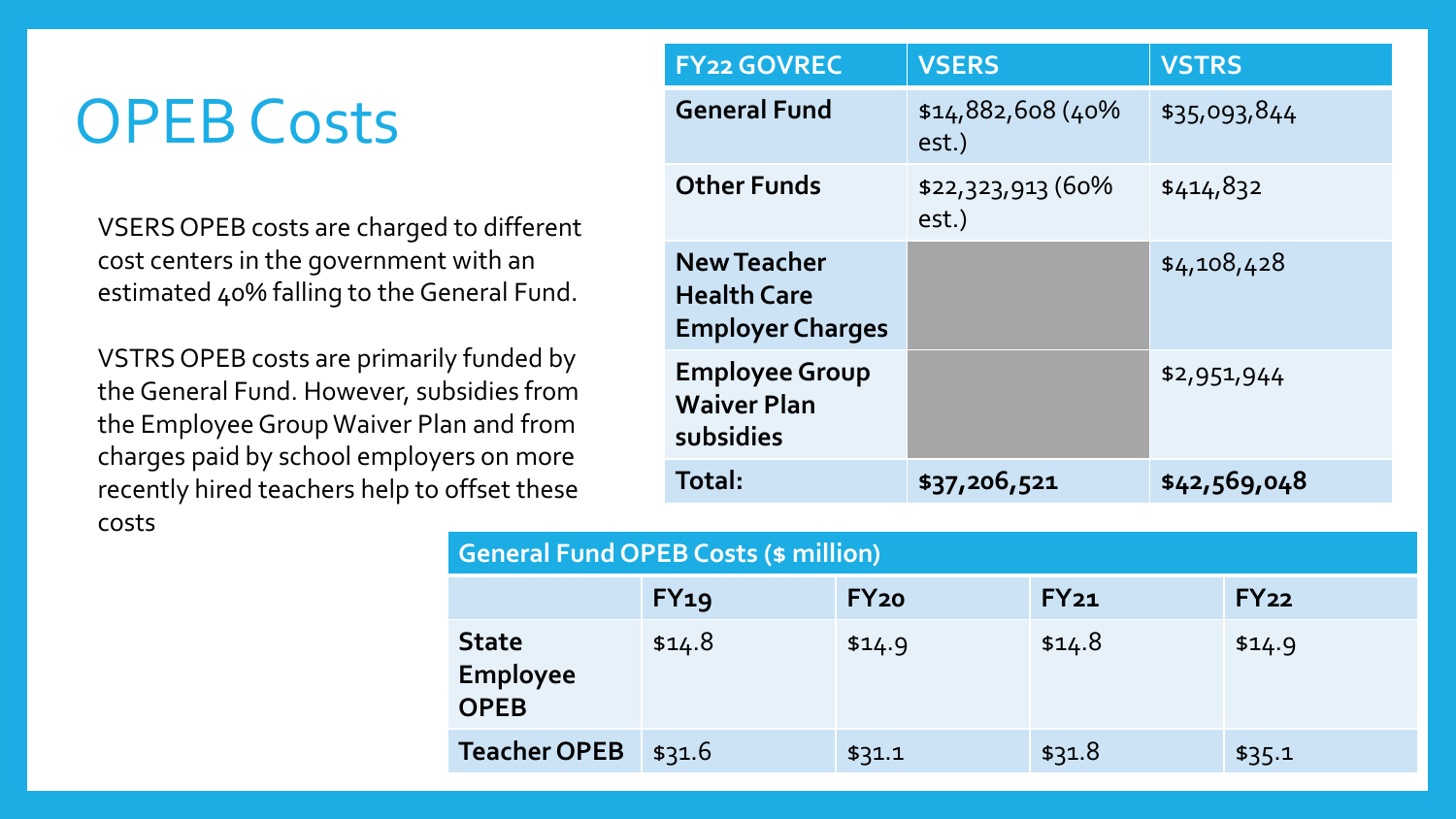#### OPEB Costs

VSERS OPEB costs are charged to different cost centers in the government with an estimated 40% falling to the General Fund.

VSTRS OPEB costs are primarily funded by the General Fund. However, subsidies from the Employee Group Waiver Plan and from charges paid by school employers on more recently hired teachers help to offset these costs

| <b>FY22 GOVREC</b>                                                  | <b>VSERS</b>               | <b>VSTRS</b> |
|---------------------------------------------------------------------|----------------------------|--------------|
| <b>General Fund</b>                                                 | \$14,882,608 (40%<br>est.) | \$35,093,844 |
| <b>Other Funds</b>                                                  | \$22,323,913(60%<br>est.)  | \$414,832    |
| <b>New Teacher</b><br><b>Health Care</b><br><b>Employer Charges</b> |                            | \$4,108,428  |
| <b>Employee Group</b><br><b>Waiver Plan</b><br>subsidies            |                            | \$2,951,944  |
| Total:                                                              | \$37,206,521               | \$42,569,048 |

| <b>General Fund OPEB Costs (\$ million)</b>    |        |                  |        |        |  |
|------------------------------------------------|--------|------------------|--------|--------|--|
|                                                | FY19   | FY <sub>20</sub> | FY21   | FY22   |  |
| <b>State</b><br><b>Employee</b><br><b>OPEB</b> | \$14.8 | \$14.9           | \$14.8 | \$14.9 |  |
| <b>Teacher OPEB</b>                            | \$31.6 | \$31.1           | \$31.8 | \$35.1 |  |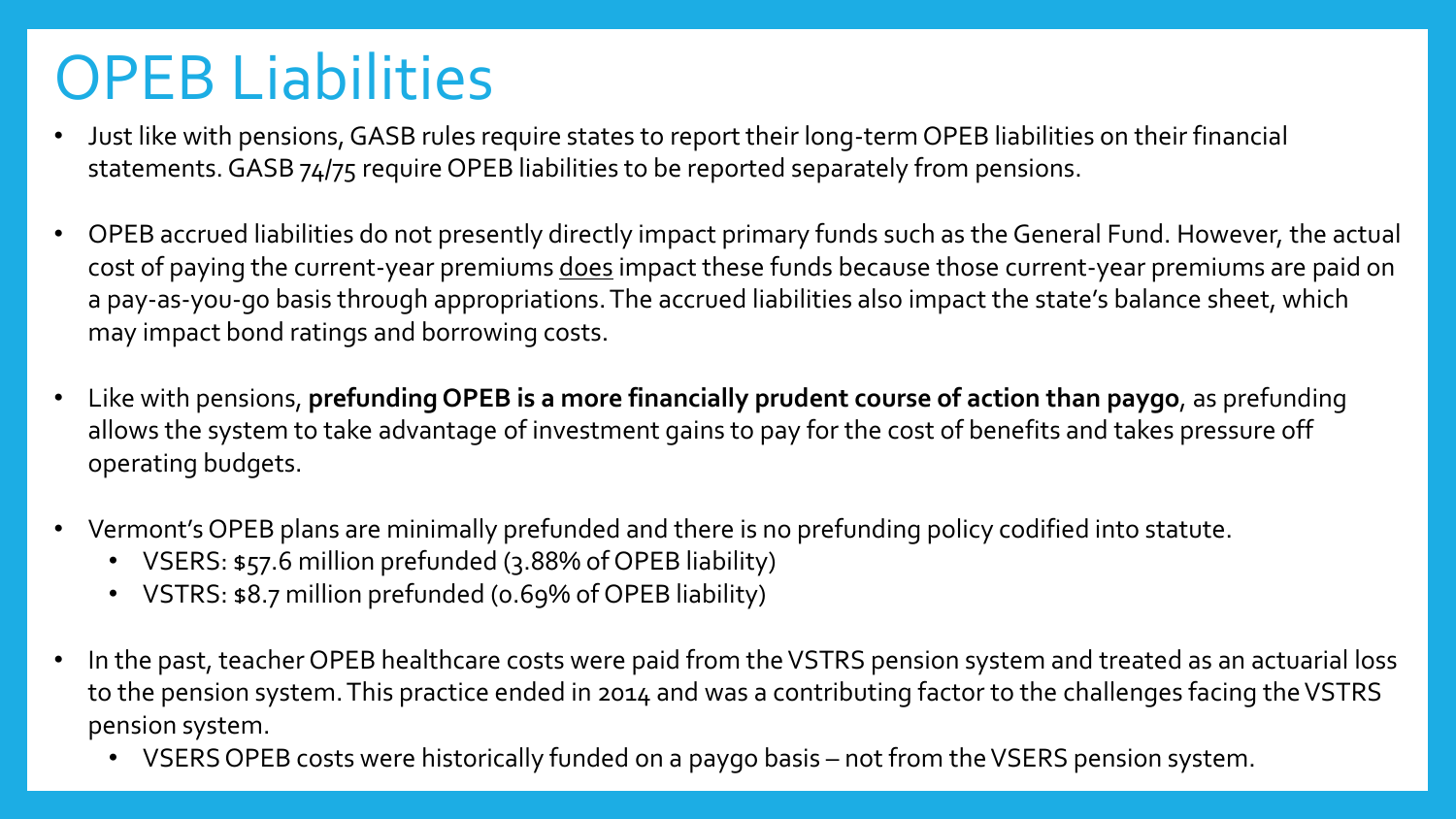#### OPEB Liabilities

- Just like with pensions, GASB rules require states to report their long-term OPEB liabilities on their financial statements. GASB 74/75 require OPEB liabilities to be reported separately from pensions.
- OPEB accrued liabilities do not presently directly impact primary funds such as the General Fund. However, the actual cost of paying the current-year premiums does impact these funds because those current-year premiums are paid on a pay-as-you-g0 basis through appropriations. The accrued liabilities also impact the state's balance sheet, which may impact bond ratings and borrowing costs.
- Like with pensions, **prefunding OPEB is a more financially prudent course of action than paygo**, as prefunding allows the system to take advantage of investment gains to pay for the cost of benefits and takes pressure off operating budgets.
- Vermont's OPEB plans are minimally prefunded and there is no prefunding policy codified into statute.
	- VSERS: \$57.6 million prefunded (3.88% of OPEB liability)
	- VSTRS: \$8.7 million prefunded (0.69% of OPEB liability)
- In the past, teacher OPEB healthcare costs were paid from the VSTRS pension system and treated as an actuarial loss to the pension system. This practice ended in 2014 and was a contributing factor to the challenges facing the VSTRS pension system.
	- VSERS OPEB costs were historically funded on a paygo basis not from the VSERS pension system.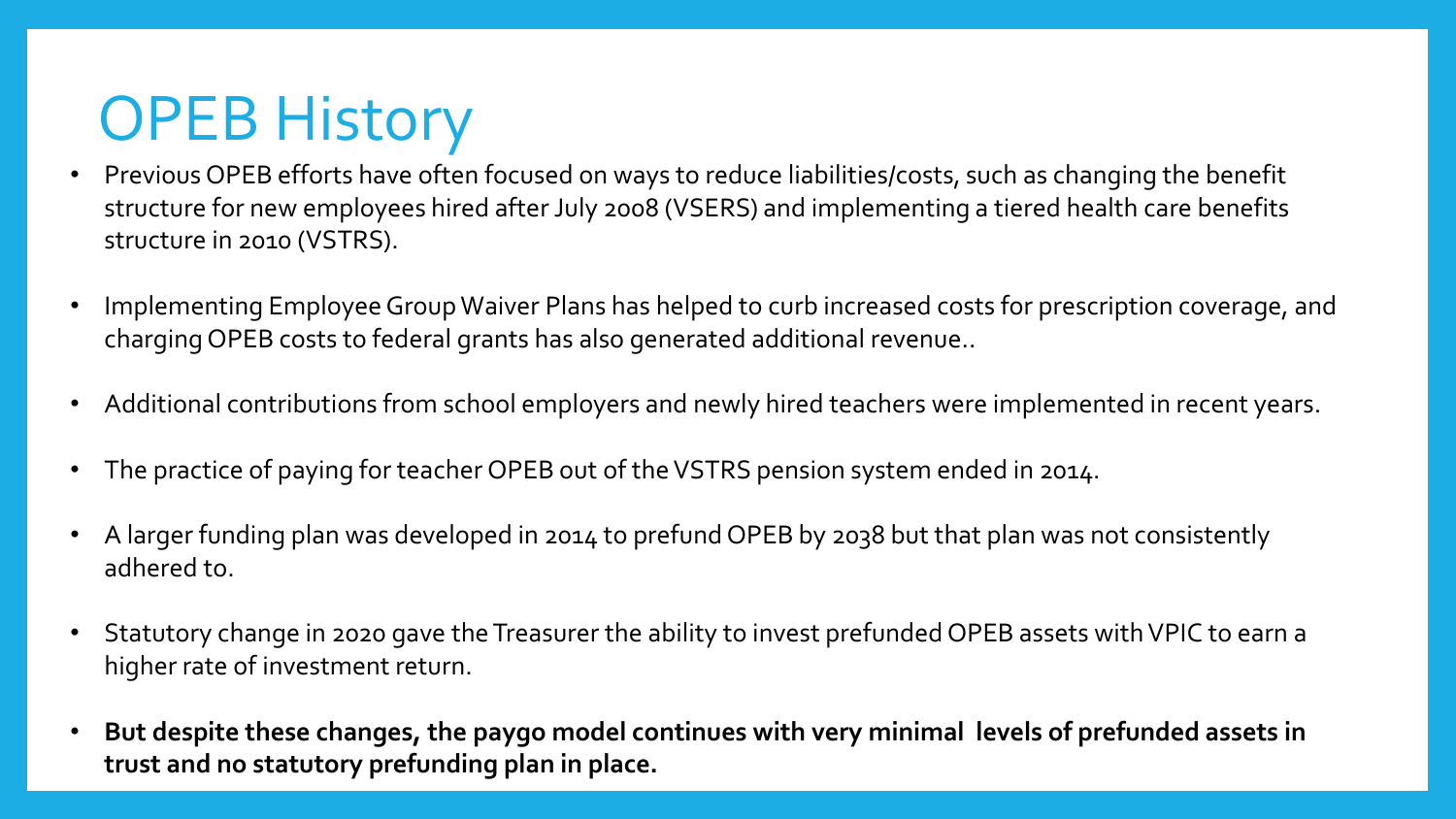#### **OPEB History**

- Previous OPEB efforts have often focused on ways to reduce liabilities/costs, such as changing the benefit structure for new employees hired after July 2008 (VSERS) and implementing a tiered health care benefits structure in 2010 (VSTRS).
- Implementing Employee Group Waiver Plans has helped to curb increased costs for prescription coverage, and charging OPEB costs to federal grants has also generated additional revenue..
- Additional contributions from school employers and newly hired teachers were implemented in recent years.
- The practice of paying for teacher OPEB out of the VSTRS pension system ended in 2014.
- A larger funding plan was developed in 2014 to prefund OPEB by 2038 but that plan was not consistently adhered to.
- Statutory change in 2020 gave the Treasurer the ability to invest prefunded OPEB assets with VPIC to earn a higher rate of investment return.
- **But despite these changes, the paygo model continues with very minimal levels of prefunded assets in trust and no statutory prefunding plan in place.**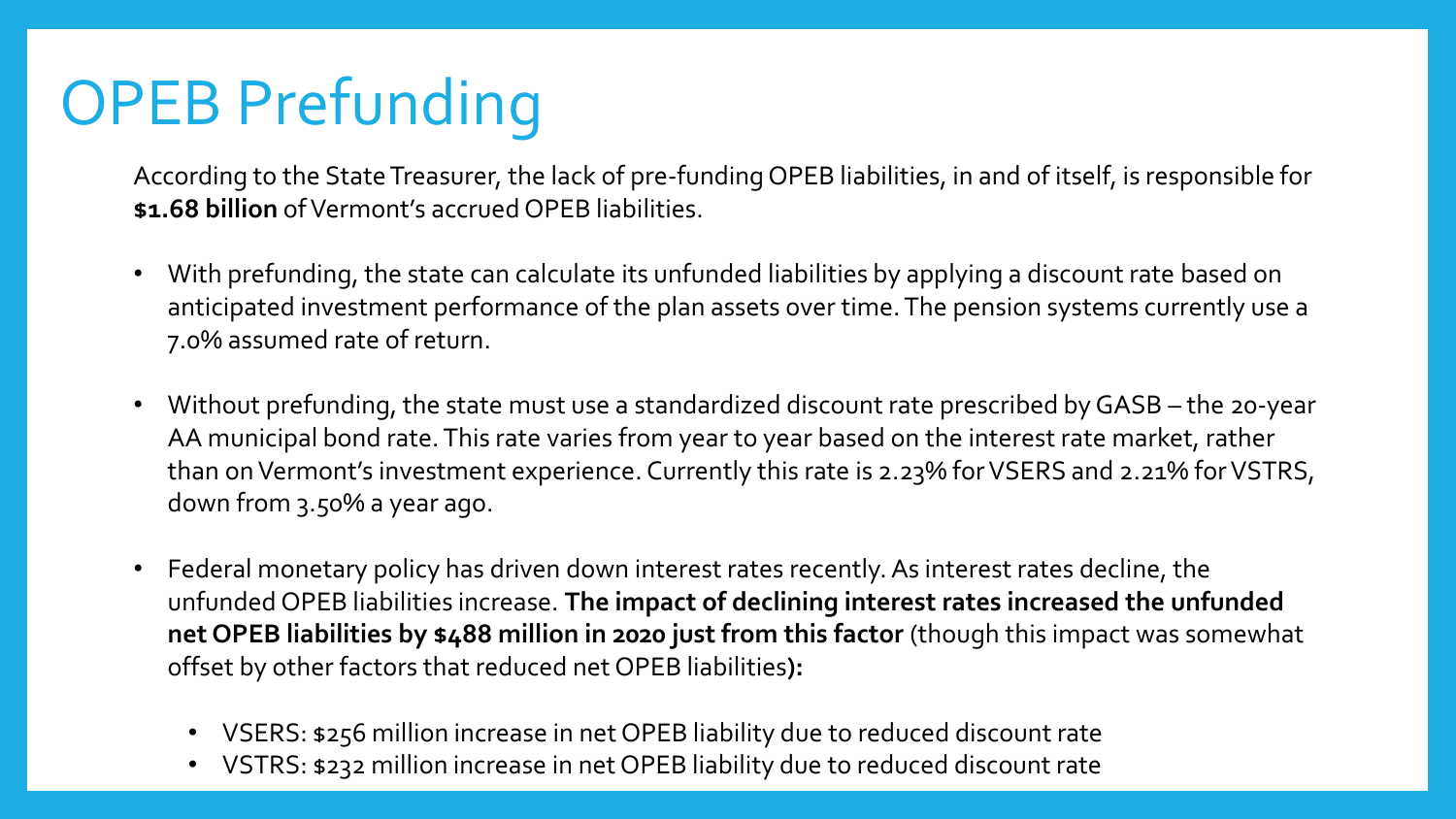### OPEB Prefunding

According to the State Treasurer, the lack of pre-funding OPEB liabilities, in and of itself, is responsible for **\$1.68 billion** of Vermont's accrued OPEB liabilities.

- With prefunding, the state can calculate its unfunded liabilities by applying a discount rate based on anticipated investment performance of the plan assets over time. The pension systems currently use a 7.0% assumed rate of return.
- Without prefunding, the state must use a standardized discount rate prescribed by GASB the 20-year AA municipal bond rate. This rate varies from year to year based on the interest rate market, rather than on Vermont's investment experience. Currently this rate is 2.23% for VSERS and 2.21% for VSTRS, down from 3.50% a year ago.
- Federal monetary policy has driven down interest rates recently. As interest rates decline, the unfunded OPEB liabilities increase. **The impact of declining interest rates increased the unfunded net OPEB liabilities by \$488 million in 2020 just from this factor** (though this impact was somewhat offset by other factors that reduced net OPEB liabilities**):**
	- VSERS: \$256 million increase in net OPEB liability due to reduced discount rate
	- VSTRS: \$232 million increase in net OPEB liability due to reduced discount rate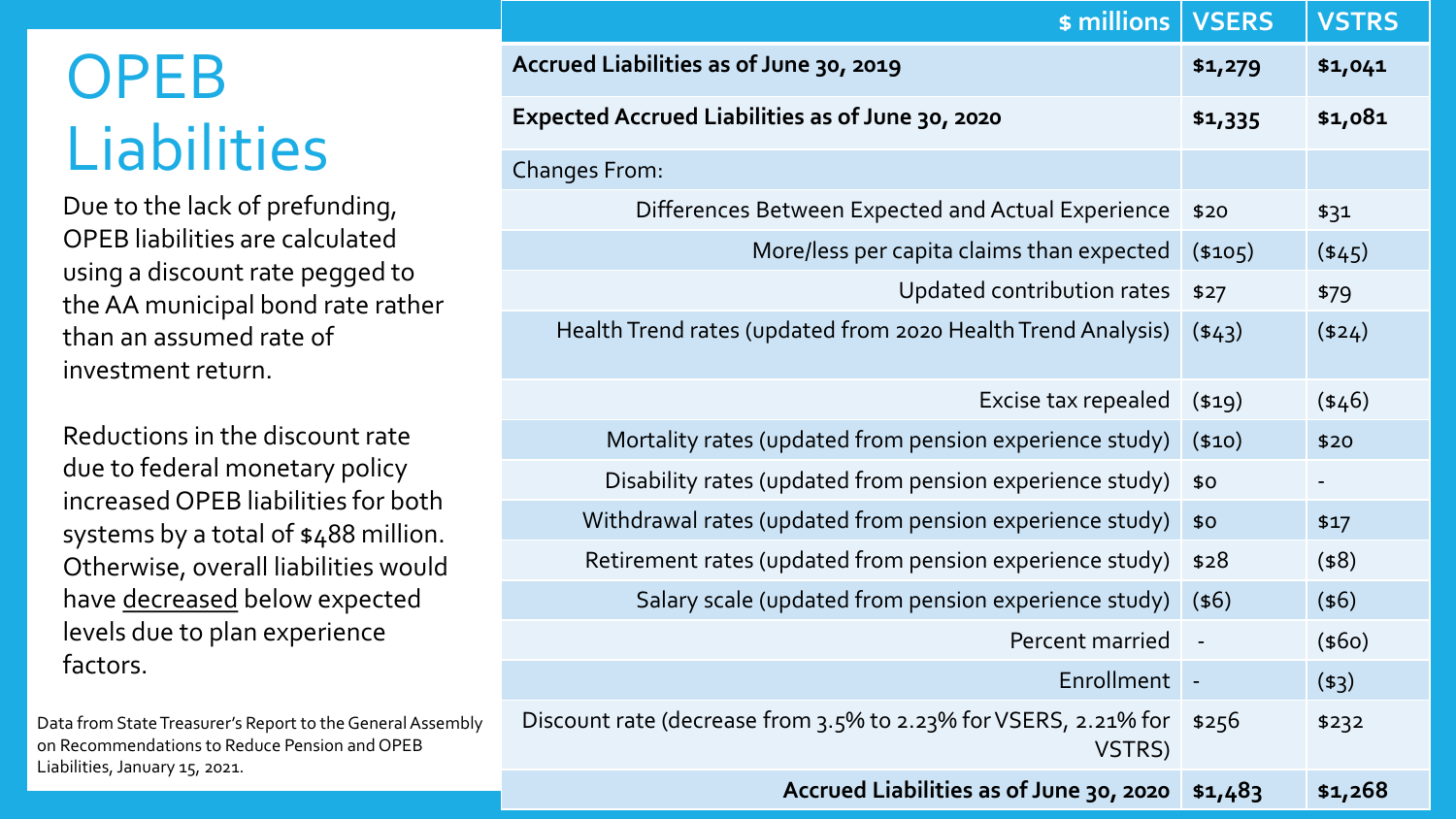### **OPEB** Liabilities

Due to the lack of prefunding, OPEB liabilities are calculated using a discount rate pegged to the AA municipal bond rate rather than an assumed rate of investment return.

Reductions in the discount rate due to federal monetary policy increased OPEB liabilities for both systems by a total of \$488 million. Otherwise, overall liabilities would have decreased below expected levels due to plan experience factors.

Data from State Treasurer's Report to the General Assembly on Recommendations to Reduce Pension and OPEB Liabilities, January 15, 2021.

| \$ millions                                                               | <b>VSERS</b>             | <b>VSTRS</b> |
|---------------------------------------------------------------------------|--------------------------|--------------|
| Accrued Liabilities as of June 30, 2019                                   | \$1,279                  | \$1,041      |
| <b>Expected Accrued Liabilities as of June 30, 2020</b>                   | \$1,335                  | \$1,081      |
| <b>Changes From:</b>                                                      |                          |              |
| Differences Between Expected and Actual Experience                        | \$20                     | \$31         |
| More/less per capita claims than expected                                 | (4105)                   | $(*45)$      |
| Updated contribution rates                                                | \$27                     | \$79         |
| Health Trend rates (updated from 2020 Health Trend Analysis)              | (443)                    | $(*24)$      |
| Excise tax repealed                                                       | (419)                    | $(*46)$      |
| Mortality rates (updated from pension experience study)                   | (410)                    | \$20         |
| Disability rates (updated from pension experience study)                  | \$0                      |              |
| Withdrawal rates (updated from pension experience study)                  | \$0                      | \$17         |
| Retirement rates (updated from pension experience study)                  | \$28                     | (48)         |
| Salary scale (updated from pension experience study)                      | (46)                     | (46)         |
| Percent married                                                           | $\overline{\phantom{a}}$ | $($ \$60)    |
| Enrollment                                                                |                          | (43)         |
| Discount rate (decrease from 3.5% to 2.23% for VSERS, 2.21% for<br>VSTRS) | \$256                    | \$232        |
| Accrued Liabilities as of June 30, 2020                                   | \$1,483                  | \$1,268      |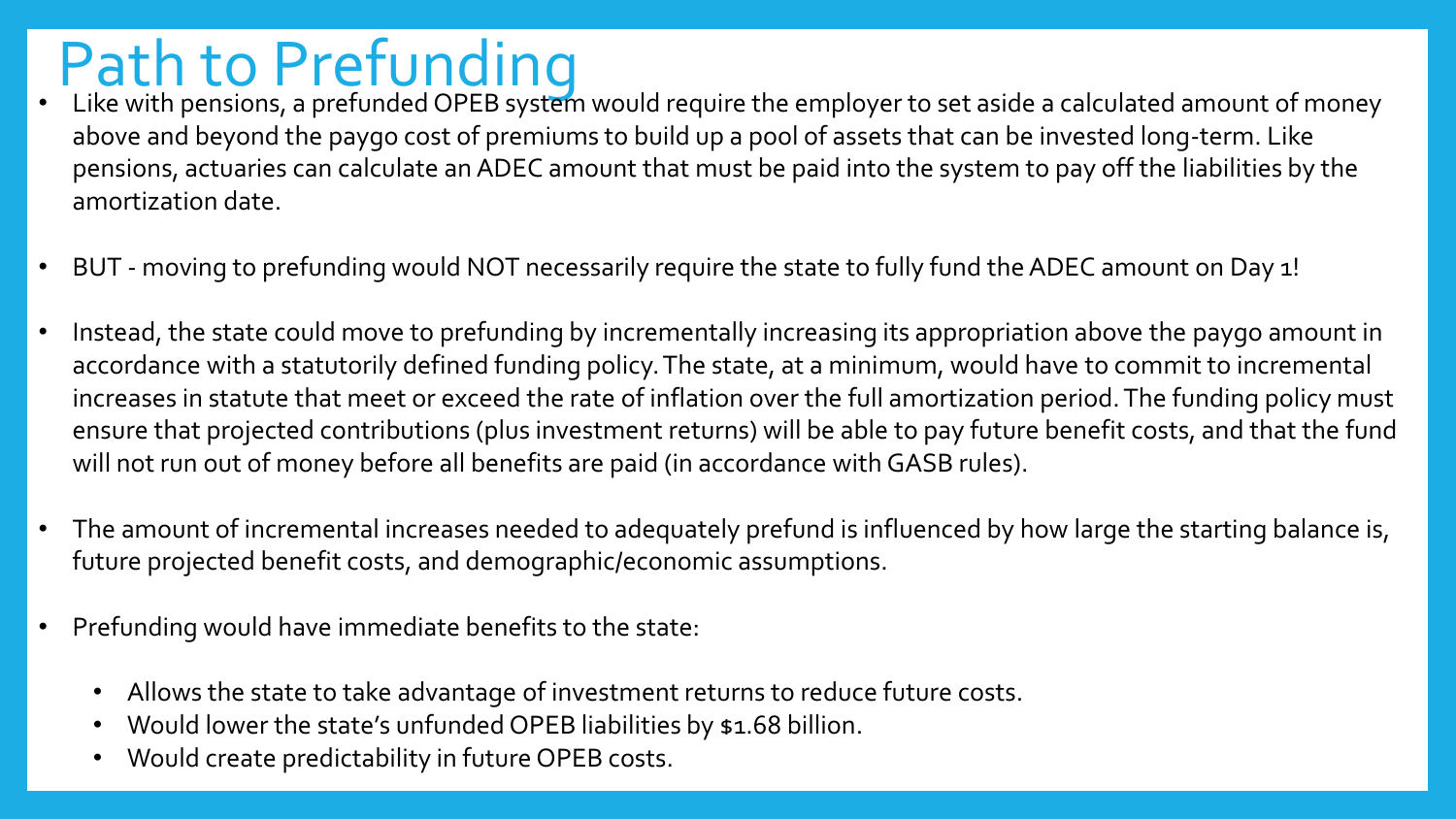- Path to Prefunding<br>• Like with pensions, a prefunded OPEB system would require the employer to set aside a calculated amount of money above and beyond the paygo cost of premiums to build up a pool of assets that can be invested long-term. Like pensions, actuaries can calculate an ADEC amount that must be paid into the system to pay off the liabilities by the amortization date.
- BUT moving to prefunding would NOT necessarily require the state to fully fund the ADEC amount on Day 1!
- Instead, the state could move to prefunding by incrementally increasing its appropriation above the paygo amount in accordance with a statutorily defined funding policy. The state, at a minimum, would have to commit to incremental increases in statute that meet or exceed the rate of inflation over the full amortization period. The funding policy must ensure that projected contributions (plus investment returns) will be able to pay future benefit costs, and that the fund will not run out of money before all benefits are paid (in accordance with GASB rules).
- The amount of incremental increases needed to adequately prefund is influenced by how large the starting balance is, future projected benefit costs, and demographic/economic assumptions.
- Prefunding would have immediate benefits to the state:
	- Allows the state to take advantage of investment returns to reduce future costs.
	- Would lower the state's unfunded OPEB liabilities by \$1.68 billion.
	- Would create predictability in future OPEB costs.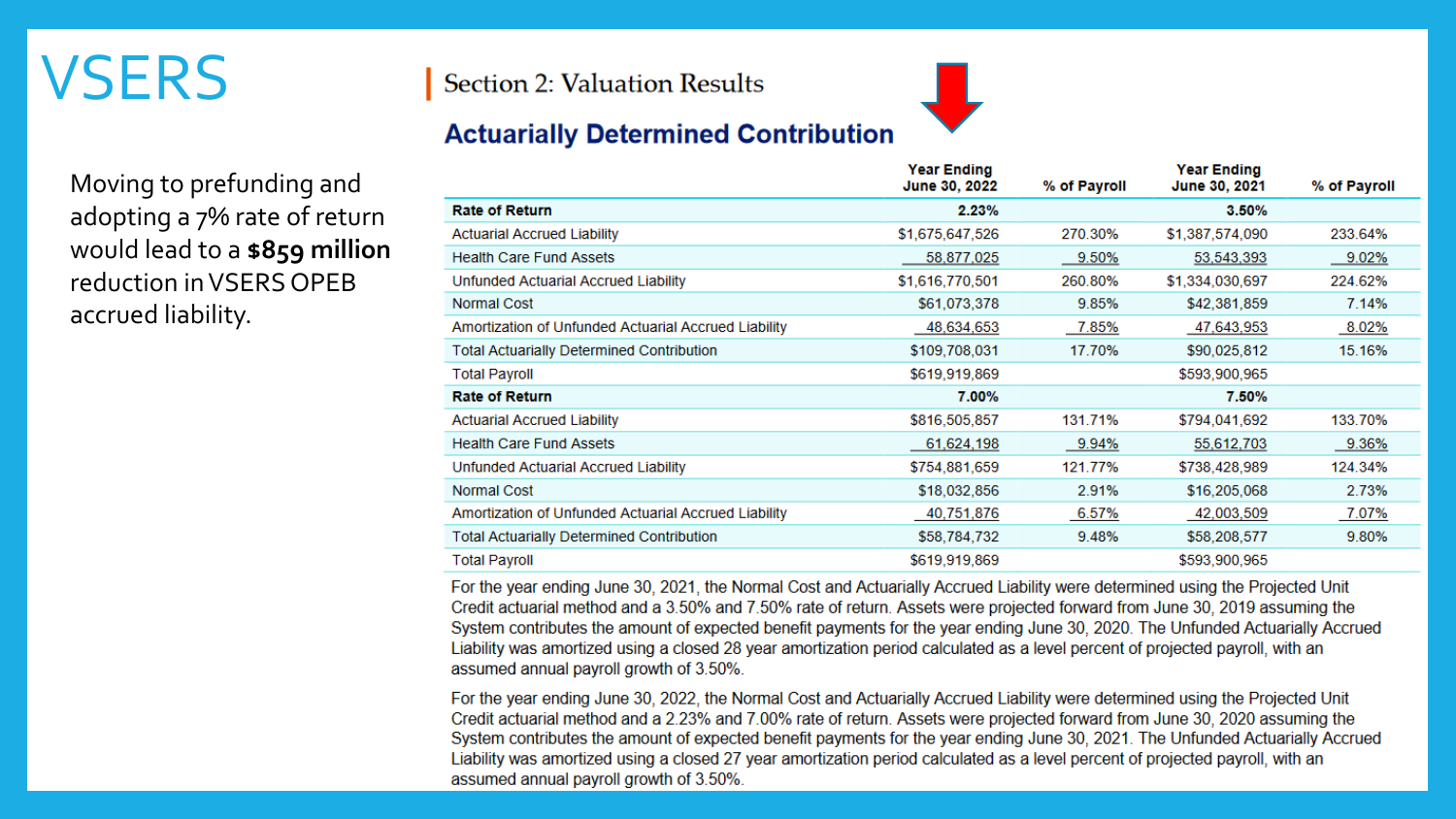#### **VSERS**

#### **Section 2: Valuation Results**

#### **Actuarially Determined Contribution**

**Year Ending Year Ending** June 30, 2022 % of Payroll June 30, 2021 % of Payroll **Rate of Return** 2.23% 3.50% \$1,675,647,526 \$1,387,574,090 **Actuarial Accrued Liability** 270.30% 233.64% **Health Care Fund Assets** 58,877,025  $9.50%$ 53,543,393  $-9.02%$ **Unfunded Actuarial Accrued Liability** \$1.616.770.501 260.80% \$1,334,030,697 224.62% **Normal Cost** \$61,073,378 9.85% \$42,381,859 7.14% Amortization of Unfunded Actuarial Accrued Liability 48,634,653 7.85% 47,643,953 8.02% **Total Actuarially Determined Contribution** \$109.708.031 17.70% \$90,025.812 15.16% **Total Payroll** \$619,919,869 \$593,900.965 **Rate of Return** 7.00% 7.50% **Actuarial Accrued Liability** \$816,505,857 131.71% \$794,041,692 133.70% **Health Care Fund Assets** 61,624,198 9.94% 9.36% 55,612,703 \$754,881,659 121.77% \$738,428,989 124.34% Unfunded Actuarial Accrued Liability **Normal Cost** \$18,032,856 2.91% \$16,205,068 2.73% Amortization of Unfunded Actuarial Accrued Liability 6.57% 7.07% 42,003,509 40,751,876 **Total Actuarially Determined Contribution** \$58,784,732 9.48% \$58,208,577 9.80% **Total Payroll** \$619.919.869 \$593,900,965

For the year ending June 30, 2021, the Normal Cost and Actuarially Accrued Liability were determined using the Projected Unit Credit actuarial method and a 3.50% and 7.50% rate of return. Assets were projected forward from June 30, 2019 assuming the System contributes the amount of expected benefit payments for the year ending June 30, 2020. The Unfunded Actuarially Accrued Liability was amortized using a closed 28 year amortization period calculated as a level percent of projected payroll, with an assumed annual payroll growth of 3.50%.

For the year ending June 30, 2022, the Normal Cost and Actuarially Accrued Liability were determined using the Projected Unit Credit actuarial method and a 2.23% and 7.00% rate of return. Assets were projected forward from June 30, 2020 assuming the System contributes the amount of expected benefit payments for the year ending June 30, 2021. The Unfunded Actuarially Accrued Liability was amortized using a closed 27 year amortization period calculated as a level percent of projected payroll, with an assumed annual payroll growth of 3.50%.

Moving to prefunding and adopting a 7% rate of return would lead to a **\$859 million**  reduction in VSERS OPEB accrued liability.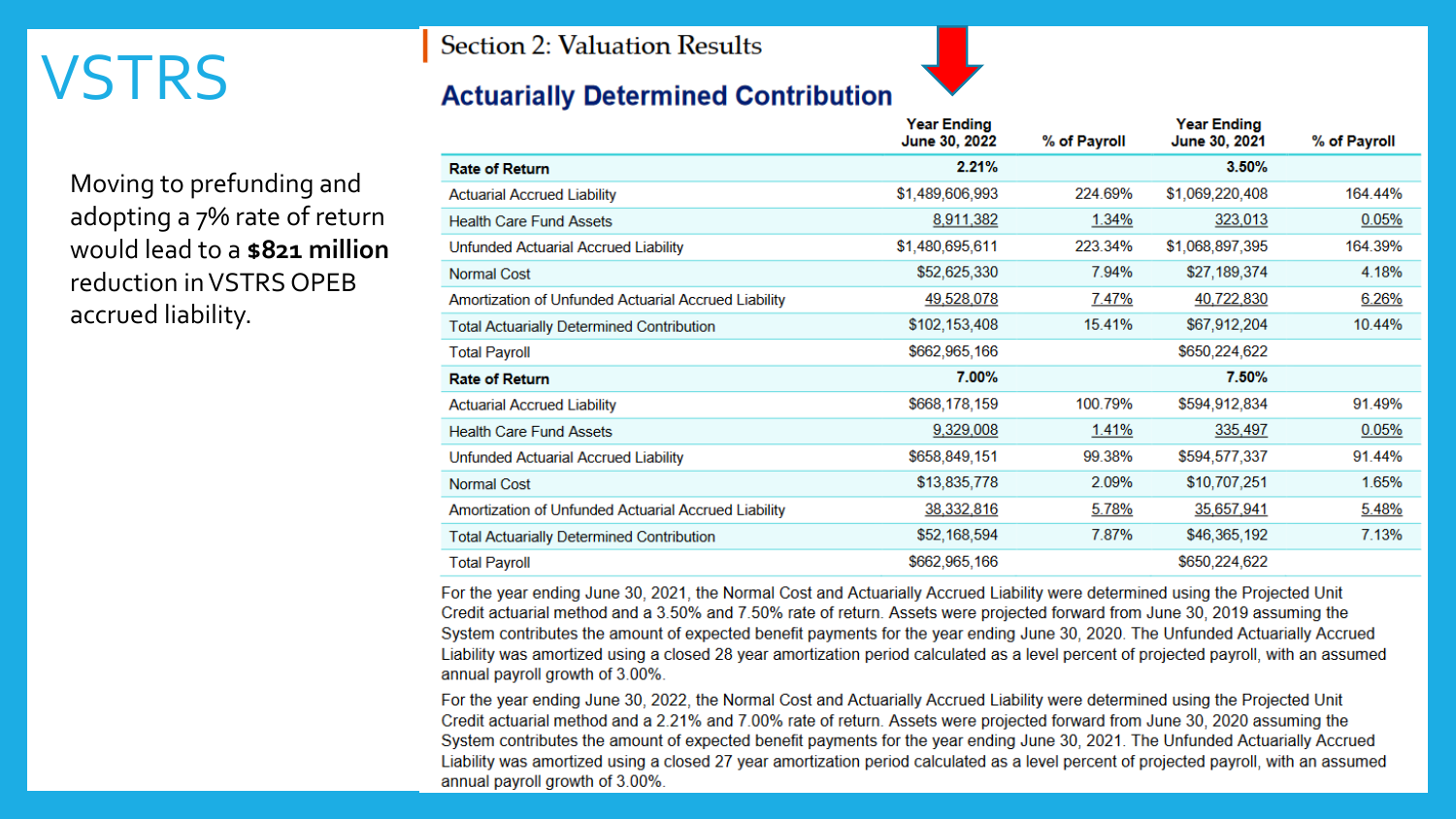#### **VSTRS**

Moving to prefunding and adopting a 7% rate of return would lead to a **\$821 million**  reduction in VSTRS OPEB accrued liability.

#### **Section 2: Valuation Results**

#### **Actuarially Determined Contribution**

|                                                      | <b>Year Ending</b><br>June 30, 2022 | % of Payroll | <b>Year Ending</b><br>June 30, 2021 | % of Payroll |
|------------------------------------------------------|-------------------------------------|--------------|-------------------------------------|--------------|
| <b>Rate of Return</b>                                | 2.21%                               |              | 3.50%                               |              |
| <b>Actuarial Accrued Liability</b>                   | \$1,489,606,993                     | 224.69%      | \$1,069,220,408                     | 164.44%      |
| <b>Health Care Fund Assets</b>                       | 8,911,382                           | 1.34%        | 323,013                             | 0.05%        |
| Unfunded Actuarial Accrued Liability                 | \$1,480,695,611                     | 223.34%      | \$1,068,897,395                     | 164.39%      |
| <b>Normal Cost</b>                                   | \$52,625,330                        | 7.94%        | \$27,189,374                        | 4.18%        |
| Amortization of Unfunded Actuarial Accrued Liability | 49,528,078                          | 7.47%        | 40,722,830                          | 6.26%        |
| <b>Total Actuarially Determined Contribution</b>     | \$102,153,408                       | 15.41%       | \$67,912,204                        | 10.44%       |
| <b>Total Payroll</b>                                 | \$662,965,166                       |              | \$650,224,622                       |              |
| <b>Rate of Return</b>                                | 7.00%                               |              | 7.50%                               |              |
| <b>Actuarial Accrued Liability</b>                   | \$668,178,159                       | 100.79%      | \$594,912,834                       | 91.49%       |
| <b>Health Care Fund Assets</b>                       | 9,329,008                           | 1.41%        | 335,497                             | 0.05%        |
| Unfunded Actuarial Accrued Liability                 | \$658,849,151                       | 99.38%       | \$594,577,337                       | 91.44%       |
| <b>Normal Cost</b>                                   | \$13,835,778                        | 2.09%        | \$10,707,251                        | 1.65%        |
| Amortization of Unfunded Actuarial Accrued Liability | 38,332,816                          | 5.78%        | 35,657,941                          | 5.48%        |
| <b>Total Actuarially Determined Contribution</b>     | \$52,168,594                        | 7.87%        | \$46,365,192                        | 7.13%        |
| <b>Total Payroll</b>                                 | \$662,965,166                       |              | \$650,224,622                       |              |

For the year ending June 30, 2021, the Normal Cost and Actuarially Accrued Liability were determined using the Projected Unit Credit actuarial method and a 3.50% and 7.50% rate of return. Assets were projected forward from June 30, 2019 assuming the System contributes the amount of expected benefit payments for the year ending June 30, 2020. The Unfunded Actuarially Accrued Liability was amortized using a closed 28 year amortization period calculated as a level percent of projected payroll, with an assumed annual payroll growth of 3.00%.

For the year ending June 30, 2022, the Normal Cost and Actuarially Accrued Liability were determined using the Projected Unit Credit actuarial method and a 2.21% and 7.00% rate of return. Assets were projected forward from June 30, 2020 assuming the System contributes the amount of expected benefit payments for the year ending June 30, 2021. The Unfunded Actuarially Accrued Liability was amortized using a closed 27 year amortization period calculated as a level percent of projected payroll, with an assumed annual payroll growth of 3.00%.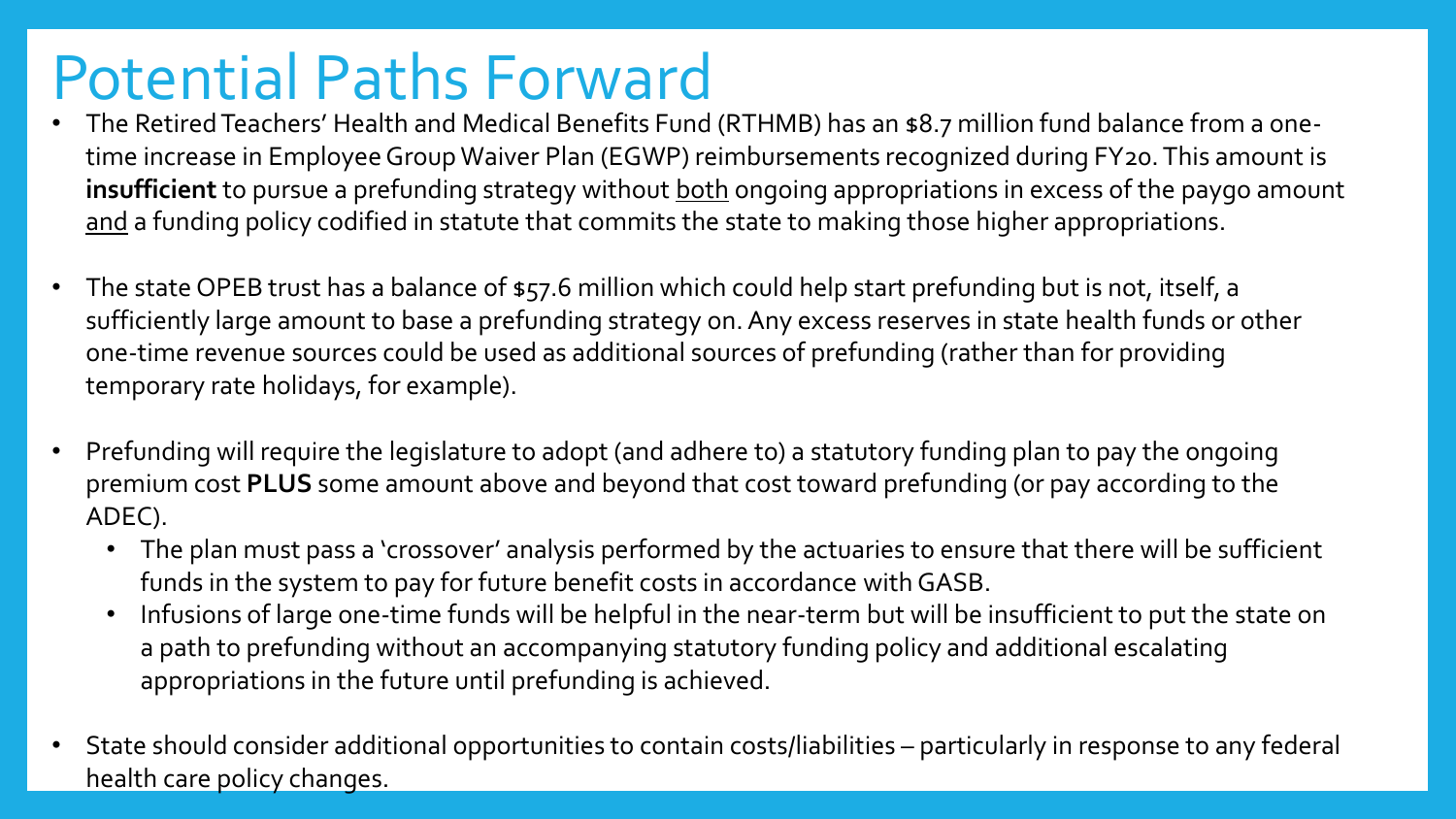#### Potential Paths Forward

- The Retired Teachers' Health and Medical Benefits Fund (RTHMB) has an \$8.7 million fund balance from a onetime increase in Employee Group Waiver Plan (EGWP) reimbursements recognized during FY20. This amount is insufficient to pursue a prefunding strategy without both ongoing appropriations in excess of the paygo amount and a funding policy codified in statute that commits the state to making those higher appropriations.
- The state OPEB trust has a balance of \$57.6 million which could help start prefunding but is not, itself, a sufficiently large amount to base a prefunding strategy on. Any excess reserves in state health funds or other one-time revenue sources could be used as additional sources of prefunding (rather than for providing temporary rate holidays, for example).
- Prefunding will require the legislature to adopt (and adhere to) a statutory funding plan to pay the ongoing premium cost **PLUS** some amount above and beyond that cost toward prefunding (or pay according to the ADEC).
	- The plan must pass a 'crossover' analysis performed by the actuaries to ensure that there will be sufficient funds in the system to pay for future benefit costs in accordance with GASB.
	- Infusions of large one-time funds will be helpful in the near-term but will be insufficient to put the state on a path to prefunding without an accompanying statutory funding policy and additional escalating appropriations in the future until prefunding is achieved.
- State should consider additional opportunities to contain costs/liabilities particularly in response to any federal health care policy changes.